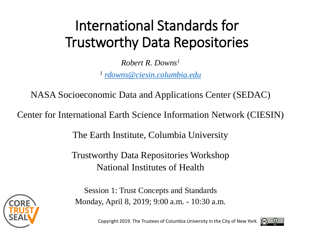# International Standards for Trustworthy Data Repositories

*Robert R. Downs1 <sup>1</sup> [rdowns@ciesin.columbia.edu](mailto:rdowns@ciesin.columbia.edu)*

NASA Socioeconomic Data and Applications Center (SEDAC)

Center for International Earth Science Information Network (CIESIN)

The Earth Institute, Columbia University

Trustworthy Data Repositories Workshop National Institutes of Health



Session 1: Trust Concepts and Standards Monday, April 8, 2019; 9:00 a.m. - 10:30 a.m.

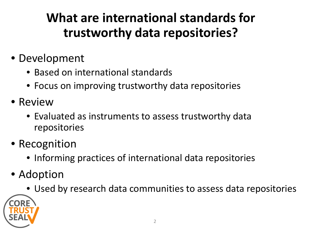### **What are international standards for trustworthy data repositories?**

- Development
	- Based on international standards
	- Focus on improving trustworthy data repositories
- Review
	- Evaluated as instruments to assess trustworthy data repositories
- Recognition
	- Informing practices of international data repositories
- Adoption
	- Used by research data communities to assess data repositories

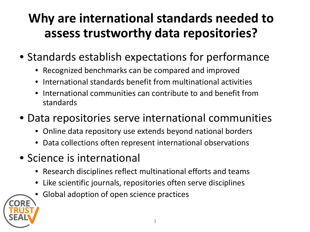### **Why are international standards needed to assess trustworthy data repositories?**

- Standards establish expectations for performance
	- Recognized benchmarks can be compared and improved
	- International standards benefit from multinational activities
	- International communities can contribute to and benefit from standards
- Data repositories serve international communities
	- Online data repository use extends beyond national borders
	- Data collections often represent international observations
- Science is international
	- Research disciplines reflect multinational efforts and teams
	- Like scientific journals, repositories often serve disciplines
	- Global adoption of open science practices

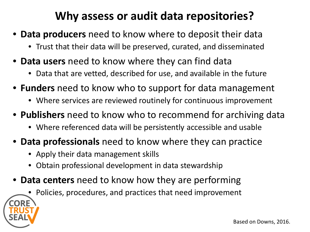### **Why assess or audit data repositories?**

- **Data producers** need to know where to deposit their data
	- Trust that their data will be preserved, curated, and disseminated
- **Data users** need to know where they can find data
	- Data that are vetted, described for use, and available in the future
- **Funders** need to know who to support for data management
	- Where services are reviewed routinely for continuous improvement
- **Publishers** need to know who to recommend for archiving data
	- Where referenced data will be persistently accessible and usable
- **Data professionals** need to know where they can practice
	- Apply their data management skills
	- Obtain professional development in data stewardship
- **Data centers** need to know how they are performing
	- Policies, procedures, and practices that need improvement

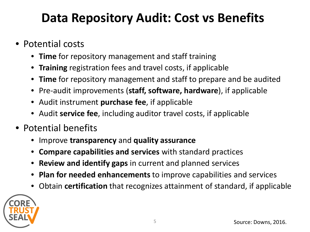### **Data Repository Audit: Cost vs Benefits**

- Potential costs
	- **Time** for repository management and staff training
	- **Training** registration fees and travel costs, if applicable
	- **Time** for repository management and staff to prepare and be audited
	- Pre-audit improvements (**staff, software, hardware**), if applicable
	- Audit instrument **purchase fee**, if applicable
	- Audit **service fee**, including auditor travel costs, if applicable
- Potential benefits
	- Improve **transparency** and **quality assurance**
	- **Compare capabilities and services** with standard practices
	- **Review and identify gaps** in current and planned services
	- **Plan for needed enhancements** to improve capabilities and services
	- Obtain **certification** that recognizes attainment of standard, if applicable

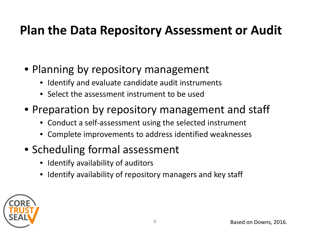### **Plan the Data Repository Assessment or Audit**

- Planning by repository management
	- Identify and evaluate candidate audit instruments
	- Select the assessment instrument to be used
- Preparation by repository management and staff
	- Conduct a self-assessment using the selected instrument
	- Complete improvements to address identified weaknesses
- Scheduling formal assessment
	- Identify availability of auditors
	- Identify availability of repository managers and key staff

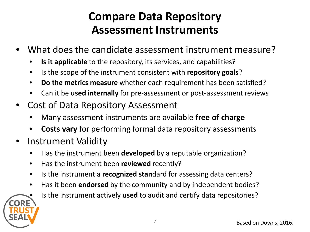### **Compare Data Repository Assessment Instruments**

- What does the candidate assessment instrument measure?
	- **Is it applicable** to the repository, its services, and capabilities?
	- Is the scope of the instrument consistent with **repository goals**?
	- **Do the metrics measure** whether each requirement has been satisfied?
	- Can it be **used internally** for pre-assessment or post-assessment reviews
- Cost of Data Repository Assessment
	- Many assessment instruments are available **free of charge**
	- **Costs vary** for performing formal data repository assessments
- Instrument Validity
	- Has the instrument been **developed** by a reputable organization?
	- Has the instrument been **reviewed** recently?
	- Is the instrument a **recognized stan**dard for assessing data centers?
	- Has it been **endorsed** by the community and by independent bodies?



• Is the instrument actively **used** to audit and certify data repositories?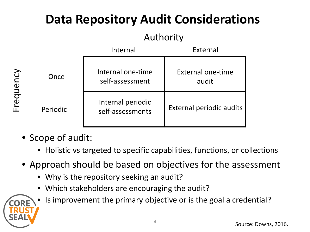# **Data Repository Audit Considerations**

### Authority

|                                               |          | Internal                              | External                          |
|-----------------------------------------------|----------|---------------------------------------|-----------------------------------|
| ncy<br>$\mathbf 0$<br>$\Box$<br><u>ღ</u><br>ப | Once     | Internal one-time<br>self-assessment  | <b>External one-time</b><br>audit |
|                                               | Periodic | Internal periodic<br>self-assessments | <b>External periodic audits</b>   |

- Scope of audit:
	- Holistic vs targeted to specific capabilities, functions, or collections
- Approach should be based on objectives for the assessment
	- Why is the repository seeking an audit?
	- Which stakeholders are encouraging the audit?



• Is improvement the primary objective or is the goal a credential?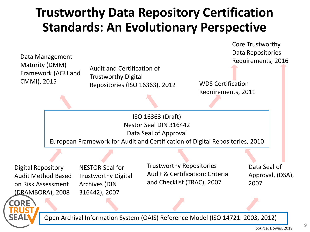### **Trustworthy Data Repository Certification Standards: An Evolutionary Perspective**

Core Trustworthy Data Repositories Requirements, 2016

Data Management Maturity (DMM) Framework (AGU and CMMI), 2015

Audit and Certification of Trustworthy Digital Repositories (ISO 16363), 2012 WDS Certification

Requirements, 2011

ISO 16363 (Draft) Nestor Seal DIN 316442 Data Seal of Approval European Framework for Audit and Certification of Digital Repositories, 2010

Digital Repository Audit Method Based on Risk Assessment (DRAMBORA), 2008

NRF

NESTOR Seal for Trustworthy Digital Archives (DIN 316442), 2007

Trustworthy Repositories Audit & Certification: Criteria and Checklist (TRAC), 2007

Data Seal of Approval, (DSA), 2007

Open Archival Information System (OAIS) Reference Model (ISO 14721: 2003, 2012)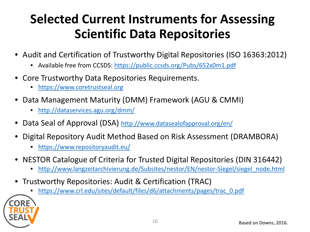### **Selected Current Instruments for Assessing Scientific Data Repositories**

- Audit and Certification of Trustworthy Digital Repositories (ISO 16363:2012)
	- Available free from CCSDS:<https://public.ccsds.org/Pubs/652x0m1.pdf>
- Core Trustworthy Data Repositories Requirements.
	- [https://www.coretrustseal.org](https://www.coretrustseal.org/)
- Data Management Maturity (DMM) Framework (AGU & CMMI)
	- <http://dataservices.agu.org/dmm/>
- Data Seal of Approval (DSA)<http://www.datasealofapproval.org/en/>
- Digital Repository Audit Method Based on Risk Assessment (DRAMBORA)
	- <https://www.repositoryaudit.eu/>
- NESTOR Catalogue of Criteria for Trusted Digital Repositories (DIN 316442)
	- [http://www.langzeitarchivierung.de/Subsites/nestor/EN/nestor-Siegel/siegel\\_node.html](http://www.langzeitarchivierung.de/Subsites/nestor/EN/nestor-Siegel/siegel_node.html)
- Trustworthy Repositories: Audit & Certification (TRAC)
	- [https://www.crl.edu/sites/default/files/d6/attachments/pages/trac\\_0.pdf](https://www.crl.edu/sites/default/files/d6/attachments/pages/trac_0.pdf)

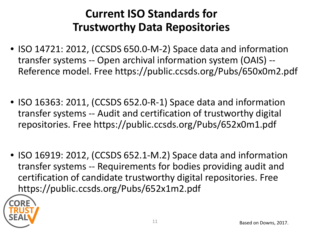### **Current ISO Standards for Trustworthy Data Repositories**

- ISO 14721: 2012, (CCSDS 650.0-M-2) Space data and information transfer systems -- Open archival information system (OAIS) -- Reference model. Free https://public.ccsds.org/Pubs/650x0m2.pdf
- ISO 16363: 2011, (CCSDS 652.0-R-1) Space data and information transfer systems -- Audit and certification of trustworthy digital repositories. Free https://public.ccsds.org/Pubs/652x0m1.pdf
- ISO 16919: 2012, (CCSDS 652.1-M.2) Space data and information transfer systems -- Requirements for bodies providing audit and certification of candidate trustworthy digital repositories. Free https://public.ccsds.org/Pubs/652x1m2.pdf

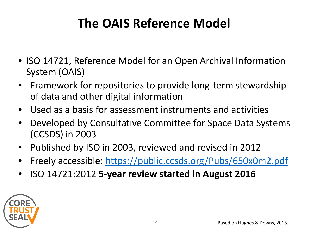## **The OAIS Reference Model**

- ISO 14721, Reference Model for an Open Archival Information System (OAIS)
- Framework for repositories to provide long-term stewardship of data and other digital information
- Used as a basis for assessment instruments and activities
- Developed by Consultative Committee for Space Data Systems (CCSDS) in 2003
- Published by ISO in 2003, reviewed and revised in 2012
- Freely accessible:<https://public.ccsds.org/Pubs/650x0m2.pdf>
- ISO 14721:2012 **5-year review started in August 2016**

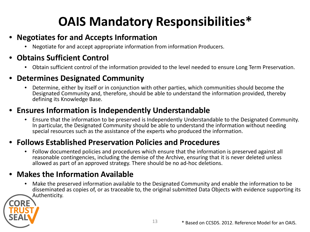# **OAIS Mandatory Responsibilities\***

#### • **Negotiates for and Accepts Information**

• Negotiate for and accept appropriate information from information Producers.

#### • **Obtains Sufficient Control**

• Obtain sufficient control of the information provided to the level needed to ensure Long Term Preservation.

#### • **Determines Designated Community**

• Determine, either by itself or in conjunction with other parties, which communities should become the Designated Community and, therefore, should be able to understand the information provided, thereby defining its Knowledge Base.

#### • **Ensures Information is Independently Understandable**

• Ensure that the information to be preserved is Independently Understandable to the Designated Community. In particular, the Designated Community should be able to understand the information without needing special resources such as the assistance of the experts who produced the information.

#### • **Follows Established Preservation Policies and Procedures**

• Follow documented policies and procedures which ensure that the information is preserved against all reasonable contingencies, including the demise of the Archive, ensuring that it is never deleted unless allowed as part of an approved strategy. There should be no ad-hoc deletions.

#### • **Makes the Information Available**

• Make the preserved information available to the Designated Community and enable the information to be disseminated as copies of, or as traceable to, the original submitted Data Objects with evidence supporting its Authenticity.

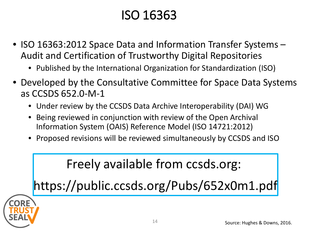### ISO 16363

- ISO 16363:2012 Space Data and Information Transfer Systems Audit and Certification of Trustworthy Digital Repositories
	- Published by the International Organization for Standardization (ISO)
- Developed by the Consultative Committee for Space Data Systems as CCSDS 652.0-M-1
	- Under review by the CCSDS Data Archive Interoperability (DAI) WG
	- Being reviewed in conjunction with review of the Open Archival Information System (OAIS) Reference Model (ISO 14721:2012)
	- Proposed revisions will be reviewed simultaneously by CCSDS and ISO

### Freely available from ccsds.org:

https://public.ccsds.org/Pubs/652x0m1.pdf

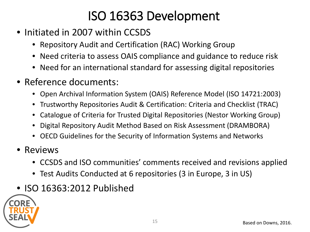## ISO 16363 Development

- Initiated in 2007 within CCSDS
	- Repository Audit and Certification (RAC) Working Group
	- Need criteria to assess OAIS compliance and guidance to reduce risk
	- Need for an international standard for assessing digital repositories
- Reference documents:
	- Open Archival Information System (OAIS) Reference Model (ISO 14721:2003)
	- Trustworthy Repositories Audit & Certification: Criteria and Checklist (TRAC)
	- Catalogue of Criteria for Trusted Digital Repositories (Nestor Working Group)
	- Digital Repository Audit Method Based on Risk Assessment (DRAMBORA)
	- OECD Guidelines for the Security of Information Systems and Networks
- Reviews
	- CCSDS and ISO communities' comments received and revisions applied
	- Test Audits Conducted at 6 repositories (3 in Europe, 3 in US)
- ISO 16363:2012 Published

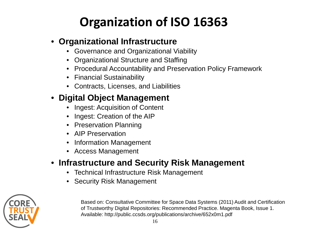# **Organization of ISO 16363**

#### • **Organizational Infrastructure**

- Governance and Organizational Viability
- Organizational Structure and Staffing
- Procedural Accountability and Preservation Policy Framework
- Financial Sustainability
- Contracts, Licenses, and Liabilities

### • **Digital Object Management**

- Ingest: Acquisition of Content
- Ingest: Creation of the AIP
- Preservation Planning
- AIP Preservation
- Information Management
- Access Management

### • **Infrastructure and Security Risk Management**

- Technical Infrastructure Risk Management
- Security Risk Management



Based on: Consultative Committee for Space Data Systems (2011) Audit and Certification of Trustworthy Digital Repositories: Recommended Practice. Magenta Book, Issue 1. Available: http://public.ccsds.org/publications/archive/652x0m1.pdf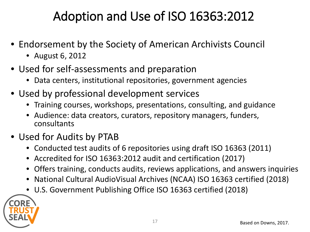### Adoption and Use of ISO 16363:2012

- Endorsement by the Society of American Archivists Council
	- August 6, 2012
- Used for self-assessments and preparation
	- Data centers, institutional repositories, government agencies
- Used by professional development services
	- Training courses, workshops, presentations, consulting, and guidance
	- Audience: data creators, curators, repository managers, funders, consultants
- Used for Audits by PTAB
	- Conducted test audits of 6 repositories using draft ISO 16363 (2011)
	- Accredited for ISO 16363:2012 audit and certification (2017)
	- Offers training, conducts audits, reviews applications, and answers inquiries
	- National Cultural AudioVisual Archives (NCAA) ISO 16363 certified (2018)
	- U.S. Government Publishing Office ISO 16363 certified (2018)

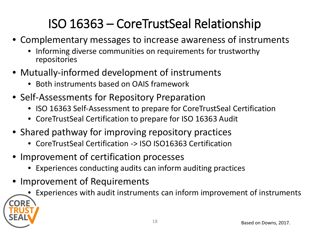# ISO 16363 – CoreTrustSeal Relationship

- Complementary messages to increase awareness of instruments
	- Informing diverse communities on requirements for trustworthy repositories
- Mutually-informed development of instruments
	- Both instruments based on OAIS framework
- Self-Assessments for Repository Preparation
	- ISO 16363 Self-Assessment to prepare for CoreTrustSeal Certification
	- CoreTrustSeal Certification to prepare for ISO 16363 Audit
- Shared pathway for improving repository practices
	- CoreTrustSeal Certification -> ISO ISO16363 Certification
- Improvement of certification processes
	- Experiences conducting audits can inform auditing practices
- Improvement of Requirements
	- Experiences with audit instruments can inform improvement of instruments

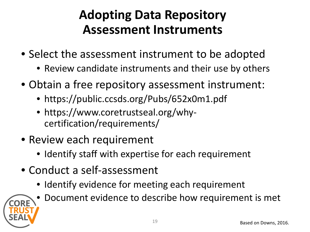### **Adopting Data Repository Assessment Instruments**

- Select the assessment instrument to be adopted
	- Review candidate instruments and their use by others
- Obtain a free repository assessment instrument:
	- https://public.ccsds.org/Pubs/652x0m1.pdf
	- https://www.coretrustseal.org/whycertification/requirements/
- Review each requirement
	- Identify staff with expertise for each requirement
- Conduct a self-assessment
	- Identify evidence for meeting each requirement



• Document evidence to describe how requirement is met